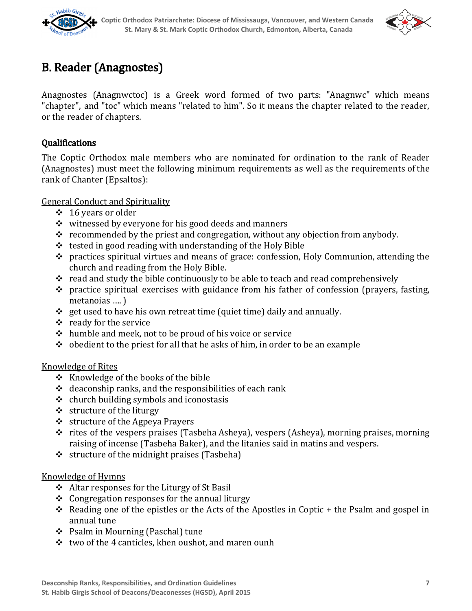



# B. Reader (Anagnostes)

Anagnostes (Anagnwctoc) is a Greek word formed of two parts: "Anagnwc" which means "chapter", and "toc" which means "related to him". So it means the chapter related to the reader, or the reader of chapters.

## Qualifications

The Coptic Orthodox male members who are nominated for ordination to the rank of Reader (Anagnostes) must meet the following minimum requirements as well as the requirements of the rank of Chanter (Epsaltos):

General Conduct and Spirituality

- ❖ 16 years or older
- ❖ witnessed by everyone for his good deeds and manners
- $\div$  recommended by the priest and congregation, without any objection from anybody.
- $\div$  tested in good reading with understanding of the Holy Bible
- ❖ practices spiritual virtues and means of grace: confession, Holy Communion, attending the church and reading from the Holy Bible.
- $\div$  read and study the bible continuously to be able to teach and read comprehensively
- ❖ practice spiritual exercises with guidance from his father of confession (prayers, fasting, metanoias …. )
- $\div$  get used to have his own retreat time (quiet time) daily and annually.
- ❖ ready for the service
- ❖ humble and meek, not to be proud of his voice or service
- $\cdot \cdot$  obedient to the priest for all that he asks of him, in order to be an example

### Knowledge of Rites

- ❖ Knowledge of the books of the bible
- $\div$  deaconship ranks, and the responsibilities of each rank
- $\dots$  church building symbols and iconostasis
- ❖ structure of the liturgy
- ❖ structure of the Agpeya Prayers
- ❖ rites of the vespers praises (Tasbeha Asheya), vespers (Asheya), morning praises, morning raising of incense (Tasbeha Baker), and the litanies said in matins and vespers.
- ❖ structure of the midnight praises (Tasbeha)

### Knowledge of Hymns

- ❖ Altar responses for the Liturgy of St Basil
- $\div$  Congregation responses for the annual liturgy
- $\div$  Reading one of the epistles or the Acts of the Apostles in Coptic + the Psalm and gospel in annual tune
- ❖ Psalm in Mourning (Paschal) tune
- ❖ two of the 4 canticles, khen oushot, and maren ounh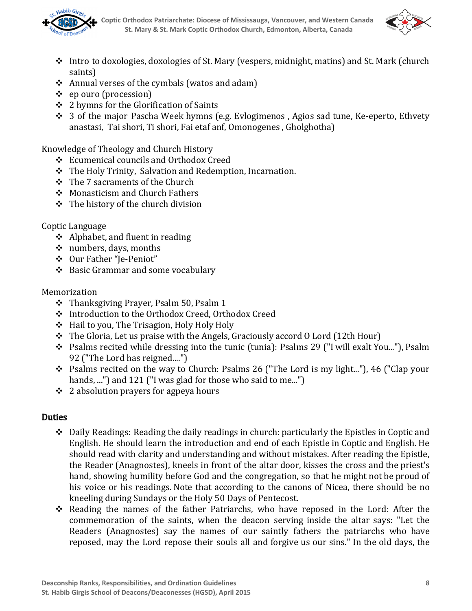



- ❖ Intro to doxologies, doxologies of St. Mary (vespers, midnight, matins) and St. Mark (church saints)
- ❖ Annual verses of the cymbals (watos and adam)
- ❖ ep ouro (procession)
- ❖ 2 hymns for the Glorification of Saints
- ❖ 3 of the major Pascha Week hymns (e.g. Evlogimenos , Agios sad tune, Ke‑eperto, Ethvety anastasi, Tai shori, Ti shori, Fai etaf anf, Omonogenes , Gholghotha)

Knowledge of Theology and Church History

- ❖ Ecumenical councils and Orthodox Creed
- ❖ The Holy Trinity, Salvation and Redemption, Incarnation.
- ❖ The 7 sacraments of the Church
- ❖ Monasticism and Church Fathers
- $\div$  The history of the church division

## Coptic Language

- ❖ Alphabet, and fluent in reading
- ❖ numbers, days, months
- ❖ Our Father "Je‑Peniot"
- ❖ Basic Grammar and some vocabulary

## **Memorization**

- ❖ Thanksgiving Prayer, Psalm 50, Psalm 1
- ❖ Introduction to the Orthodox Creed, Orthodox Creed
- ❖ Hail to you, The Trisagion, Holy Holy Holy
- ❖ The Gloria, Let us praise with the Angels, Graciously accord O Lord (12th Hour)
- ❖ Psalms recited while dressing into the tunic (tunia): Psalms 29 ("I will exalt You..."), Psalm 92 ("The Lord has reigned....")
- ❖ Psalms recited on the way to Church: Psalms 26 ("The Lord is my light..."), 46 ("Clap your hands, ...") and 121 ("I was glad for those who said to me...")
- ❖ 2 absolution prayers for agpeya hours

# **Duties**

- ❖ Daily Readings: Reading the daily readings in church: particularly the Epistles in Coptic and English. He should learn the introduction and end of each Epistle in Coptic and English. He should read with clarity and understanding and without mistakes. After reading the Epistle, the Reader (Anagnostes), kneels in front of the altar door, kisses the cross and the priest's hand, showing humility before God and the congregation, so that he might not be proud of his voice or his readings. Note that according to the canons of Nicea, there should be no kneeling during Sundays or the Holy 50 Days of Pentecost.
- ❖ Reading the names of the father Patriarchs, who have reposed in the Lord: After the commemoration of the saints, when the deacon serving inside the altar says: "Let the Readers (Anagnostes) say the names of our saintly fathers the patriarchs who have reposed, may the Lord repose their souls all and forgive us our sins." In the old days, the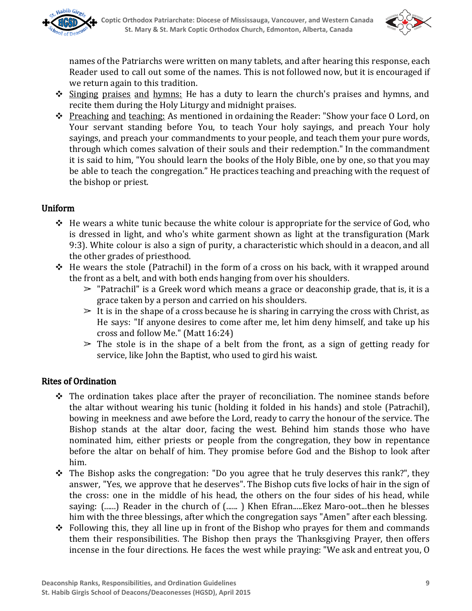



names of the Patriarchs were written on many tablets, and after hearing this response, each Reader used to call out some of the names. This is not followed now, but it is encouraged if we return again to this tradition.

- ❖ Singing praises and hymns: He has a duty to learn the church's praises and hymns, and recite them during the Holy Liturgy and midnight praises.
- ❖ Preaching and teaching: As mentioned in ordaining the Reader: "Show your face O Lord, on Your servant standing before You, to teach Your holy sayings, and preach Your holy sayings, and preach your commandments to your people, and teach them your pure words, through which comes salvation of their souls and their redemption." In the commandment it is said to him, "You should learn the books of the Holy Bible, one by one, so that you may be able to teach the congregation." He practices teaching and preaching with the request of the bishop or priest.

## Uniform

- $\div$  He wears a white tunic because the white colour is appropriate for the service of God, who is dressed in light, and who's white garment shown as light at the transfiguration (Mark 9:3). White colour is also a sign of purity, a characteristic which should in a deacon, and all the other grades of priesthood.
- ❖ He wears the stole (Patrachil) in the form of a cross on his back, with it wrapped around the front as a belt, and with both ends hanging from over his shoulders.
	- $\geq$  "Patrachil" is a Greek word which means a grace or deaconship grade, that is, it is a grace taken by a person and carried on his shoulders.
	- $\geq$  It is in the shape of a cross because he is sharing in carrying the cross with Christ, as He says: "If anyone desires to come after me, let him deny himself, and take up his cross and follow Me." (Matt 16:24)
	- $\geq$  The stole is in the shape of a belt from the front, as a sign of getting ready for service, like John the Baptist, who used to gird his waist.

### Rites of Ordination

- $\div$  The ordination takes place after the prayer of reconciliation. The nominee stands before the altar without wearing his tunic (holding it folded in his hands) and stole (Patrachil), bowing in meekness and awe before the Lord, ready to carry the honour of the service. The Bishop stands at the altar door, facing the west. Behind him stands those who have nominated him, either priests or people from the congregation, they bow in repentance before the altar on behalf of him. They promise before God and the Bishop to look after him.
- ❖ The Bishop asks the congregation: "Do you agree that he truly deserves this rank?", they answer, "Yes, we approve that he deserves". The Bishop cuts five locks of hair in the sign of the cross: one in the middle of his head, the others on the four sides of his head, while saying: (......) Reader in the church of (......) Khen Efran.....Ekez Maro-oot...then he blesses him with the three blessings, after which the congregation says "Amen" after each blessing.
- ❖ Following this, they all line up in front of the Bishop who prayes for them and commands them their responsibilities. The Bishop then prays the Thanksgiving Prayer, then offers incense in the four directions. He faces the west while praying: "We ask and entreat you, O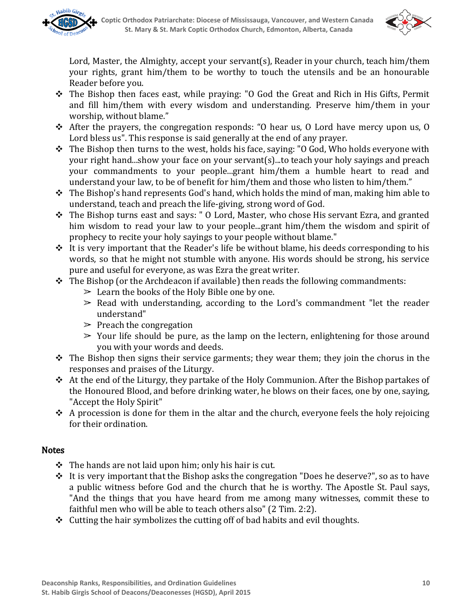



Lord, Master, the Almighty, accept your servant(s), Reader in your church, teach him/them your rights, grant him/them to be worthy to touch the utensils and be an honourable Reader before you.

- ❖ The Bishop then faces east, while praying: "O God the Great and Rich in His Gifts, Permit and fill him/them with every wisdom and understanding. Preserve him/them in your worship, without blame."
- ❖ After the prayers, the congregation responds: "O hear us, O Lord have mercy upon us, O Lord bless us". This response is said generally at the end of any prayer.
- ❖ The Bishop then turns to the west, holds his face, saying: "O God, Who holds everyone with your right hand...show your face on your servant(s)...to teach your holy sayings and preach your commandments to your people...grant him/them a humble heart to read and understand your law, to be of benefit for him/them and those who listen to him/them."
- ❖ The Bishop's hand represents God's hand, which holds the mind of man, making him able to understand, teach and preach the life‑giving, strong word of God.
- ❖ The Bishop turns east and says: " O Lord, Master, who chose His servant Ezra, and granted him wisdom to read your law to your people...grant him/them the wisdom and spirit of prophecy to recite your holy sayings to your people without blame."
- $\div$  It is very important that the Reader's life be without blame, his deeds corresponding to his words, so that he might not stumble with anyone. His words should be strong, his service pure and useful for everyone, as was Ezra the great writer.
- ❖ The Bishop (or the Archdeacon if available) then reads the following commandments:
	- $\geq$  Learn the books of the Holy Bible one by one.
	- $\geq$  Read with understanding, according to the Lord's commandment "let the reader understand"
	- $\geq$  Preach the congregation
	- $\geq$  Your life should be pure, as the lamp on the lectern, enlightening for those around you with your words and deeds.
- $\cdot \cdot$  The Bishop then signs their service garments; they wear them; they join the chorus in the responses and praises of the Liturgy.
- ❖ At the end of the Liturgy, they partake of the Holy Communion. After the Bishop partakes of the Honoured Blood, and before drinking water, he blows on their faces, one by one, saying, "Accept the Holy Spirit"
- $\div$  A procession is done for them in the altar and the church, everyone feels the holy rejoicing for their ordination.

### **Notes**

- $\div$  The hands are not laid upon him; only his hair is cut.
- $\div$  It is very important that the Bishop asks the congregation "Does he deserve?", so as to have a public witness before God and the church that he is worthy. The Apostle St. Paul says, "And the things that you have heard from me among many witnesses, commit these to faithful men who will be able to teach others also" (2 Tim. 2:2).
- ❖ Cutting the hair symbolizes the cutting off of bad habits and evil thoughts.